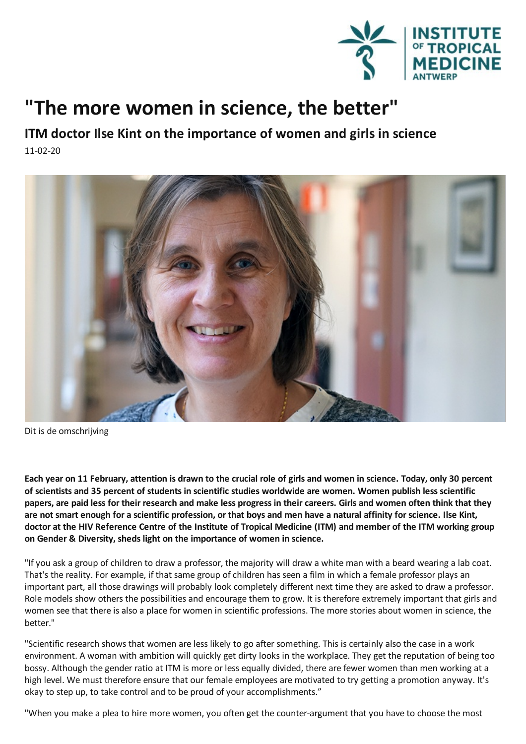

## **"The more women in science, the better"**

**ITM doctor Ilse Kint on the importance of women and girls in science** 11-02-20



Dit is de omschrijving

Each year on 11 February, attention is drawn to the crucial role of girls and women in science. Today, only 30 percent of scientists and 35 percent of students in scientific studies worldwide are women. Women publish less scientific papers, are paid less for their research and make less progress in their careers. Girls and women often think that they are not smart enough for a scientific profession, or that boys and men have a natural affinity for science. Ilse Kint, doctor at the HIV Reference Centre of the Institute of Tropical Medicine (ITM) and member of the ITM working group **on Gender & Diversity, sheds light on the importance of women in science.**

"If you ask a group of children to draw a professor, the majority will draw a white man with a beard wearing a lab coat. That's the reality. For example, if that same group of children has seen a film in which a female professor plays an important part, all those drawings will probably look completely different next time they are asked to draw a professor. Role models show others the possibilities and encourage them to grow. It is therefore extremely important that girls and women see that there is also a place for women in scientific professions. The more stories about women in science, the better."

"Scientific research shows that women are less likely to go after something. This is certainly also the case in a work environment. A woman with ambition will quickly get dirty looks in the workplace. They get the reputation of being too bossy. Although the gender ratio at ITM is more or less equally divided, there are fewer women than men working at a high level. We must therefore ensure that our female employees are motivated to try getting a promotion anyway. It's okay to step up, to take control and to be proud of your accomplishments."

"When you make a plea to hire more women, you often get the counter-argument that you have to choose the most